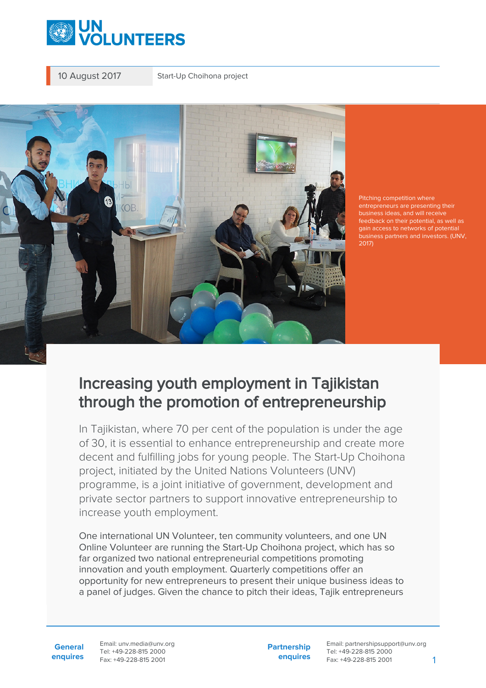

10 August 2017 Start-Up Choihona project



Pitching competition where entrepreneurs are presenting their business ideas, and will receive feedback on their potential, as well as gain access to networks of potential business partners and investors. (UNV, 2017)

## Increasing youth employment in Tajikistan through the promotion of entrepreneurship

In Tajikistan, where 70 per cent of the population is under the age of 30, it is essential to enhance entrepreneurship and create more decent and fulfilling jobs for young people. The Start-Up Choihona project, initiated by the United Nations Volunteers (UNV) programme, is a joint initiative of government, development and private sector partners to support innovative entrepreneurship to increase youth employment.

One international UN Volunteer, ten community volunteers, and one UN Online Volunteer are running the Start-Up Choihona project, which has so far organized two national entrepreneurial competitions promoting innovation and youth employment. Quarterly competitions offer an opportunity for new entrepreneurs to present their unique business ideas to a panel of judges. Given the chance to pitch their ideas, Tajik entrepreneurs

**General enquires** Email: unv.media@unv.org Tel: +49-228-815 2000 Fax: +49-228-815 2001

**Partnership enquires**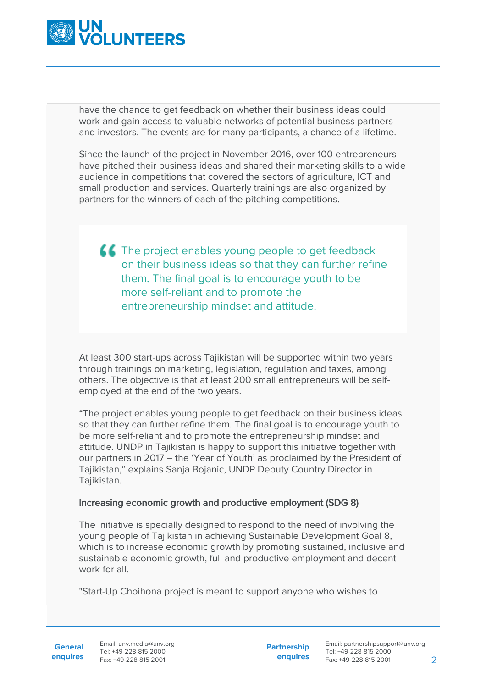

have the chance to get feedback on whether their business ideas could work and gain access to valuable networks of potential business partners and investors. The events are for many participants, a chance of a lifetime.

Since the launch of the project in November 2016, over 100 entrepreneurs have pitched their business ideas and shared their marketing skills to a wide audience in competitions that covered the sectors of agriculture, ICT and small production and services. Quarterly trainings are also organized by partners for the winners of each of the pitching competitions.

**The project enables young people to get feedback** on their business ideas so that they can further refine them. The final goal is to encourage youth to be more self-reliant and to promote the entrepreneurship mindset and attitude.

At least 300 start-ups across Tajikistan will be supported within two years through trainings on marketing, legislation, regulation and taxes, among others. The objective is that at least 200 small entrepreneurs will be selfemployed at the end of the two years.

"The project enables young people to get feedback on their business ideas so that they can further refine them. The final goal is to encourage youth to be more self-reliant and to promote the entrepreneurship mindset and attitude. UNDP in Tajikistan is happy to support this initiative together with our partners in 2017 – the 'Year of Youth' as proclaimed by the President of Tajikistan," explains Sanja Bojanic, UNDP Deputy Country Director in Tajikistan.

## Increasing economic growth and productive employment (SDG 8)

The initiative is specially designed to respond to the need of involving the young people of Tajikistan in achieving Sustainable Development Goal 8, which is to increase economic growth by promoting sustained, inclusive and sustainable economic growth, full and productive employment and decent work for all

"Start-Up Choihona project is meant to support anyone who wishes to

General Email: unv.media@unv.org **enquires** Fax: +49-228-815 2001 Tel: +49-228-815 2000

**Partnership enquires**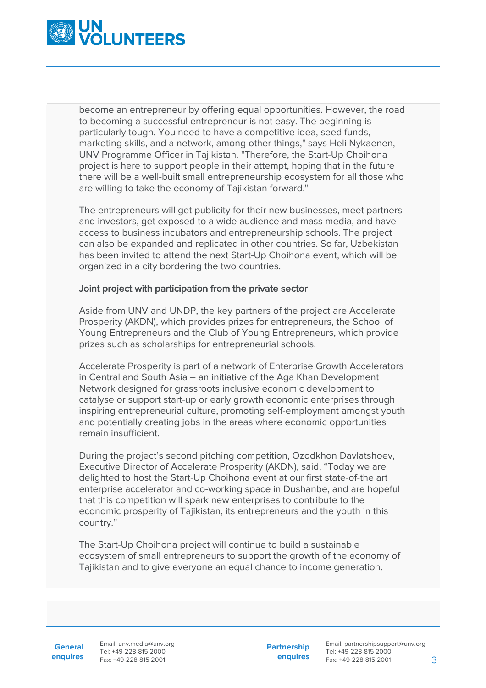

become an entrepreneur by offering equal opportunities. However, the road to becoming a successful entrepreneur is not easy. The beginning is particularly tough. You need to have a competitive idea, seed funds, marketing skills, and a network, among other things," says Heli Nykaenen, UNV Programme Officer in Tajikistan. "Therefore, the Start-Up Choihona project is here to support people in their attempt, hoping that in the future there will be a well-built small entrepreneurship ecosystem for all those who are willing to take the economy of Tajikistan forward."

The entrepreneurs will get publicity for their new businesses, meet partners and investors, get exposed to a wide audience and mass media, and have access to business incubators and entrepreneurship schools. The project can also be expanded and replicated in other countries. So far, Uzbekistan has been invited to attend the next Start-Up Choihona event, which will be organized in a city bordering the two countries.

## Joint project with participation from the private sector

Aside from UNV and UNDP, the key partners of the project are Accelerate Prosperity (AKDN), which provides prizes for entrepreneurs, the School of Young Entrepreneurs and the Club of Young Entrepreneurs, which provide prizes such as scholarships for entrepreneurial schools.

Accelerate Prosperity is part of a network of Enterprise Growth Accelerators in Central and South Asia – an initiative of the Aga Khan Development Network designed for grassroots inclusive economic development to catalyse or support start-up or early growth economic enterprises through inspiring entrepreneurial culture, promoting self-employment amongst youth and potentially creating jobs in the areas where economic opportunities remain insufficient.

During the project's second pitching competition, Ozodkhon Davlatshoev, Executive Director of Accelerate Prosperity (AKDN), said, "Today we are delighted to host the Start-Up Choihona event at our first state-of-the art enterprise accelerator and co-working space in Dushanbe, and are hopeful that this competition will spark new enterprises to contribute to the economic prosperity of Tajikistan, its entrepreneurs and the youth in this country."

The Start-Up Choihona project will continue to build a sustainable ecosystem of small entrepreneurs to support the growth of the economy of Tajikistan and to give everyone an equal chance to income generation.

**General**

**enquires** Fax: +49-228-815 2001 Email: unv.media@unv.org Tel: +49-228-815 2000

**Partnership enquires**